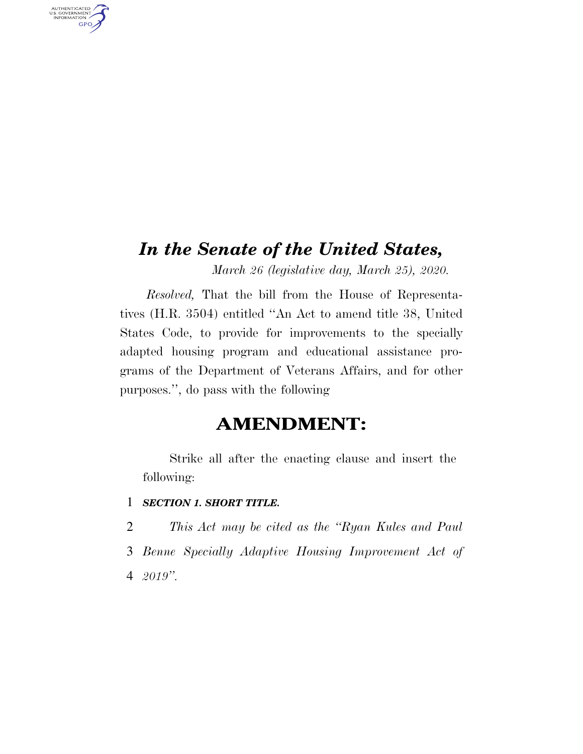## *In the Senate of the United States,*

*March 26 (legislative day, March 25), 2020.* 

*Resolved,* That the bill from the House of Representatives (H.R. 3504) entitled ''An Act to amend title 38, United States Code, to provide for improvements to the specially adapted housing program and educational assistance programs of the Department of Veterans Affairs, and for other purposes.'', do pass with the following

### **AMENDMENT:**

Strike all after the enacting clause and insert the following:

- 1 *SECTION 1. SHORT TITLE.*
- 2 *This Act may be cited as the ''Ryan Kules and Paul*
- 3 *Benne Specially Adaptive Housing Improvement Act of*
- 4 *2019''.*

AUTHENTICATED<br>U.S. GOVERNMENT<br>INFORMATION

GPO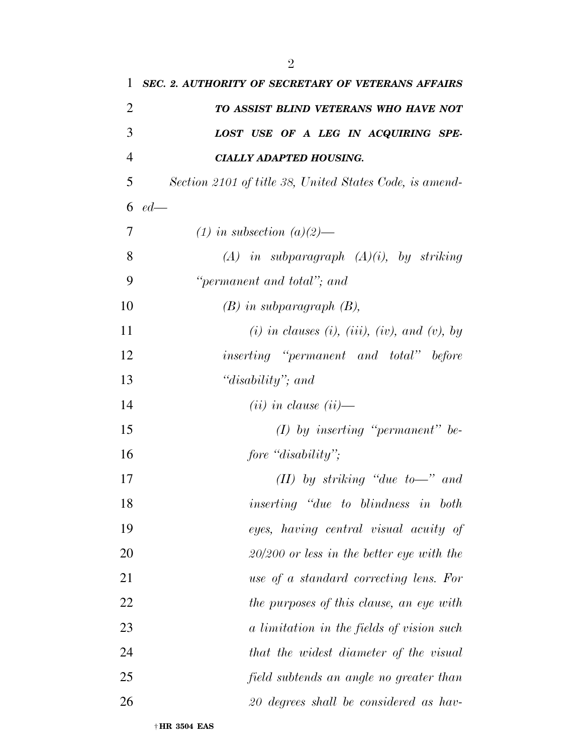| 1              | SEC. 2. AUTHORITY OF SECRETARY OF VETERANS AFFAIRS         |
|----------------|------------------------------------------------------------|
| $\overline{2}$ | TO ASSIST BLIND VETERANS WHO HAVE NOT                      |
| 3              | LOST USE OF A LEG IN ACQUIRING SPE-                        |
| $\overline{4}$ | <b>CIALLY ADAPTED HOUSING.</b>                             |
| 5              | Section 2101 of title 38, United States Code, is amend-    |
| 6              | $ed$ —                                                     |
| 7              | $(1)$ in subsection $(a)(2)$ —                             |
| 8              | $(A)$ in subparagraph $(A)(i)$ , by striking               |
| 9              | "permanent and total"; and                                 |
| 10             | $(B)$ in subparagraph $(B)$ ,                              |
| 11             | $(i)$ in clauses $(i)$ , $(iii)$ , $(iv)$ , and $(v)$ , by |
| 12             | inserting "permanent and total" before                     |
| 13             | "disability"; and                                          |
| 14             | $(ii)$ in clause $(ii)$ —                                  |
| 15             | $(I)$ by inserting "permanent" be-                         |
| 16             | fore "disability";                                         |
| 17             | (II) by striking "due to-" and                             |
| 18             | inserting "due to blindness in both                        |
| 19             | eyes, having central visual acuity of                      |
| 20             | $20/200$ or less in the better eye with the                |
| 21             | use of a standard correcting lens. For                     |
| 22             | the purposes of this clause, an eye with                   |
| 23             | a limitation in the fields of vision such                  |
| 24             | that the widest diameter of the visual                     |
| 25             | field subtends an angle no greater than                    |
| 26             | 20 degrees shall be considered as hav-                     |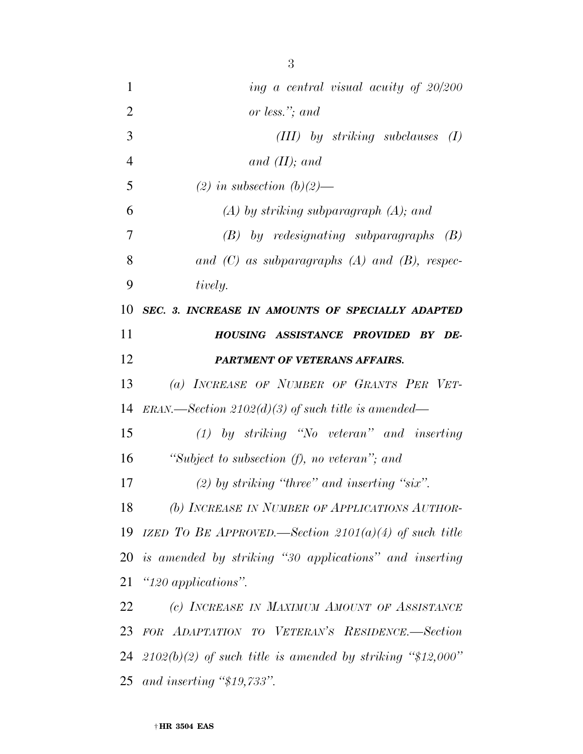| $\mathbf{1}$   | ing a central visual acuity of 20/200                         |
|----------------|---------------------------------------------------------------|
| $\overline{2}$ | or less."; and                                                |
| 3              | (III) by striking subclauses<br>(I)                           |
| $\overline{4}$ | and $(II)$ ; and                                              |
| 5              | (2) in subsection $(b)(2)$ —                                  |
| 6              | $(A)$ by striking subparagraph $(A)$ ; and                    |
| 7              | $(B)$ by redesignating subparagraphs $(B)$                    |
| 8              | and $(C)$ as subparagraphs $(A)$ and $(B)$ , respec-          |
| 9              | tively.                                                       |
| 10             | SEC. 3. INCREASE IN AMOUNTS OF SPECIALLY ADAPTED              |
| 11             | HOUSING ASSISTANCE PROVIDED BY DE-                            |
| 12             | <b>PARTMENT OF VETERANS AFFAIRS.</b>                          |
| 13             | (a) INCREASE OF NUMBER OF GRANTS PER VET-                     |
| 14             | $ERAN.$ Section 2102(d)(3) of such title is amended—          |
| 15             | $(1)$ by striking "No veteran" and inserting                  |
| 16             | "Subject to subsection (f), no veteran"; and                  |
| 17             | $(2)$ by striking "three" and inserting "six".                |
| 18             | (b) INCREASE IN NUMBER OF APPLICATIONS AUTHOR-                |
| 19             | IZED TO BE APPROVED.—Section $2101(a)(4)$ of such title       |
|                | 20 is amended by striking "30 applications" and inserting     |
| 21             | " $120$ applications".                                        |
| 22             | (c) INCREASE IN MAXIMUM AMOUNT OF ASSISTANCE                  |
| 23             | FOR ADAPTATION TO VETERAN'S RESIDENCE.-Section                |
| 24             | $(2102(b)(2)$ of such title is amended by striking "\$12,000" |
| 25             | and inserting " $$19,733"$ .                                  |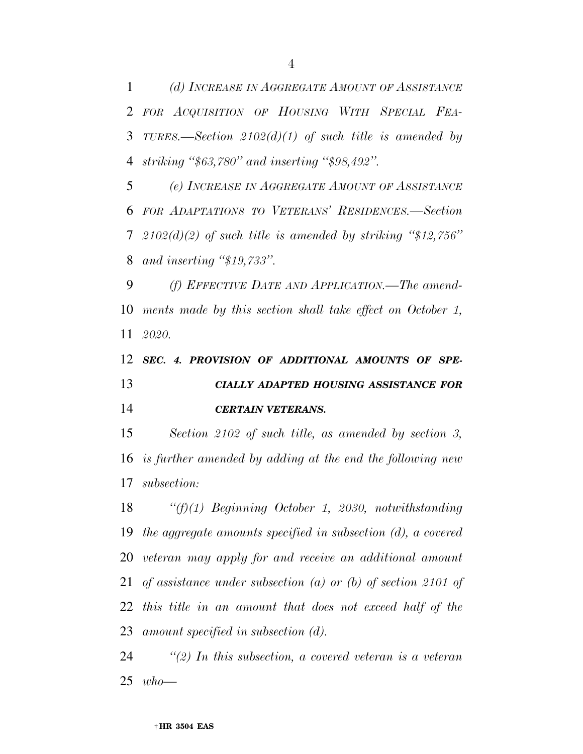*(d) INCREASE IN AGGREGATE AMOUNT OF ASSISTANCE FOR ACQUISITION OF HOUSING WITH SPECIAL FEA- TURES.—Section 2102(d)(1) of such title is amended by striking ''\$63,780'' and inserting ''\$98,492''.* 

 *(e) INCREASE IN AGGREGATE AMOUNT OF ASSISTANCE FOR ADAPTATIONS TO VETERANS' RESIDENCES.—Section 2102(d)(2) of such title is amended by striking ''\$12,756'' and inserting ''\$19,733''.* 

 *(f) EFFECTIVE DATE AND APPLICATION.—The amend- ments made by this section shall take effect on October 1, 2020.* 

 *SEC. 4. PROVISION OF ADDITIONAL AMOUNTS OF SPE- CIALLY ADAPTED HOUSING ASSISTANCE FOR CERTAIN VETERANS.* 

 *Section 2102 of such title, as amended by section 3, is further amended by adding at the end the following new subsection:* 

 *''(f)(1) Beginning October 1, 2030, notwithstanding the aggregate amounts specified in subsection (d), a covered veteran may apply for and receive an additional amount of assistance under subsection (a) or (b) of section 2101 of this title in an amount that does not exceed half of the amount specified in subsection (d).* 

 *''(2) In this subsection, a covered veteran is a veteran who—*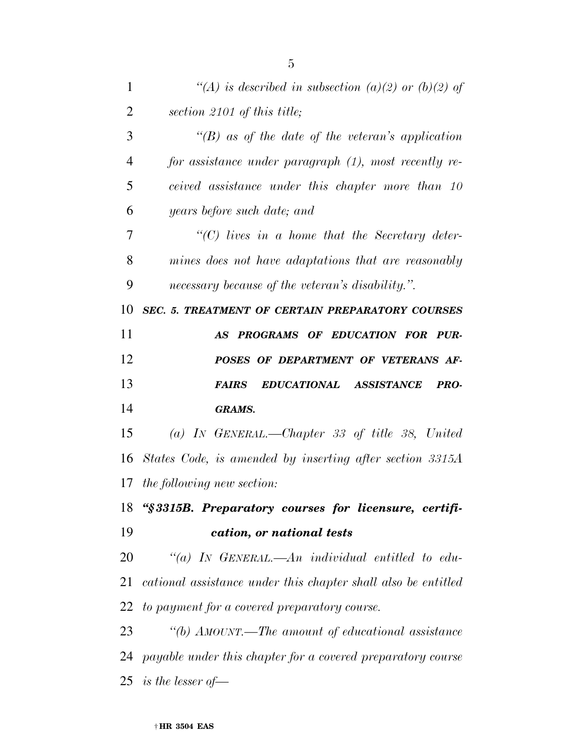| 1              | "(A) is described in subsection (a)(2) or (b)(2) of           |
|----------------|---------------------------------------------------------------|
| $\overline{2}$ | section 2101 of this title;                                   |
| 3              | $\lq (B)$ as of the date of the veteran's application         |
| $\overline{4}$ | for assistance under paragraph (1), most recently re-         |
| 5              | ceived assistance under this chapter more than 10             |
| 6              | years before such date; and                                   |
| 7              | $\lq$ (C) lives in a home that the Secretary deter-           |
| 8              | mines does not have adaptations that are reasonably           |
| 9              | necessary because of the veteran's disability.".              |
| 10             | <b>SEC. 5. TREATMENT OF CERTAIN PREPARATORY COURSES</b>       |
| 11             | AS PROGRAMS OF EDUCATION FOR PUR-                             |
| 12             | POSES OF DEPARTMENT OF VETERANS AF-                           |
| 13             | EDUCATIONAL ASSISTANCE<br>PRO-<br><i><b>FAIRS</b></i>         |
| 14             | <b>GRAMS.</b>                                                 |
| 15             | (a) IN GENERAL.—Chapter 33 of title 38, United                |
| 16             | States Code, is amended by inserting after section 3315A      |
| 17             | the following new section:                                    |
|                | 18 "§3315B. Preparatory courses for licensure, certifi-       |
| 19             | cation, or national tests                                     |
| 20             |                                                               |
|                | "(a) IN GENERAL.—An individual entitled to edu-               |
| 21             | cational assistance under this chapter shall also be entitled |
| 22             | to payment for a covered preparatory course.                  |
| 23             | "(b) AMOUNT.—The amount of educational assistance             |
| 24             | payable under this chapter for a covered preparatory course   |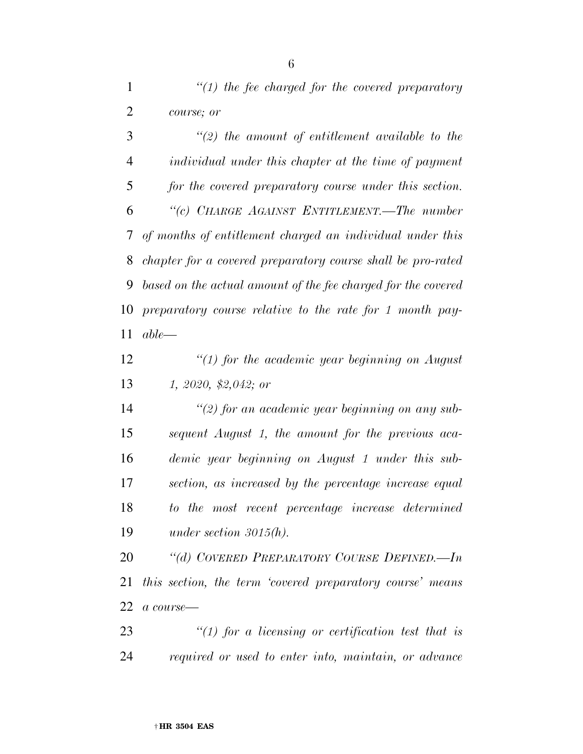*''(1) the fee charged for the covered preparatory course; or* 

 *''(2) the amount of entitlement available to the individual under this chapter at the time of payment for the covered preparatory course under this section. ''(c) CHARGE AGAINST ENTITLEMENT.—The number of months of entitlement charged an individual under this chapter for a covered preparatory course shall be pro-rated based on the actual amount of the fee charged for the covered preparatory course relative to the rate for 1 month pay-able—* 

 *''(1) for the academic year beginning on August 1, 2020, \$2,042; or* 

 *''(2) for an academic year beginning on any sub- sequent August 1, the amount for the previous aca- demic year beginning on August 1 under this sub- section, as increased by the percentage increase equal to the most recent percentage increase determined under section 3015(h).* 

 *''(d) COVERED PREPARATORY COURSE DEFINED.—In this section, the term 'covered preparatory course' means a course—* 

 *''(1) for a licensing or certification test that is required or used to enter into, maintain, or advance*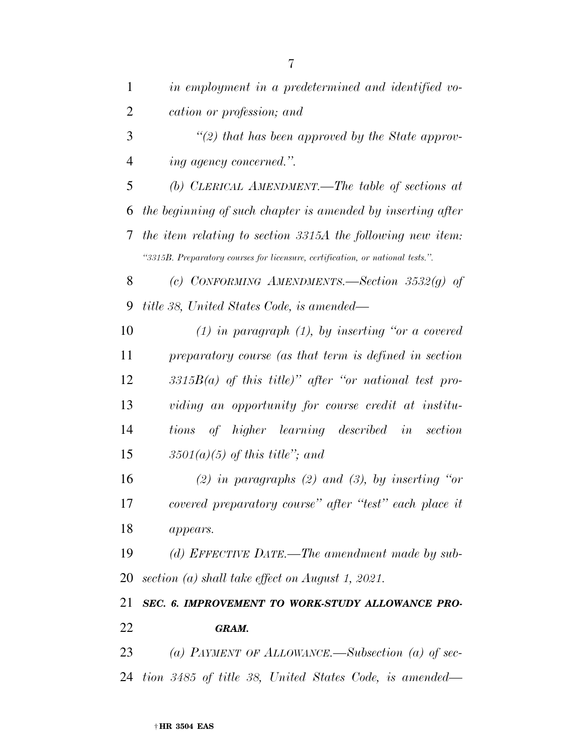| $\mathbf{1}$   | in employment in a predetermined and identified vo-                            |
|----------------|--------------------------------------------------------------------------------|
| $\overline{2}$ | cation or profession; and                                                      |
| 3              | $\lq(2)$ that has been approved by the State approv-                           |
| $\overline{4}$ | ing agency concerned.".                                                        |
| 5              | (b) CLERICAL AMENDMENT.—The table of sections at                               |
| 6              | the beginning of such chapter is amended by inserting after                    |
| 7              | the item relating to section 3315A the following new item:                     |
|                | "3315B. Preparatory courses for licensure, certification, or national tests.". |
| 8              | (c) CONFORMING AMENDMENTS. Section $3532(g)$ of                                |
| 9              | title 38, United States Code, is amended—                                      |
| 10             | $(1)$ in paragraph $(1)$ , by inserting "or a covered"                         |
| 11             | preparatory course (as that term is defined in section                         |
| 12             | $3315B(a)$ of this title)" after "or national test pro-                        |
| 13             | viding an opportunity for course credit at institu-                            |
| 14             | tions of higher learning described in<br>section                               |
| 15             | $3501(a)(5)$ of this title"; and                                               |
| 16             | (2) in paragraphs (2) and (3), by inserting "or                                |
| 17             | covered preparatory course" after "test" each place it                         |
| 18             | appears.                                                                       |
| 19             | (d) EFFECTIVE DATE.—The amendment made by sub-                                 |
| 20             | section (a) shall take effect on August 1, 2021.                               |
| 21             | SEC. 6. IMPROVEMENT TO WORK-STUDY ALLOWANCE PRO-                               |
| 22             | GRAM.                                                                          |
| 23             | (a) PAYMENT OF ALLOWANCE.—Subsection (a) of sec-                               |
|                | 24 tion 3485 of title 38, United States Code, is amended—                      |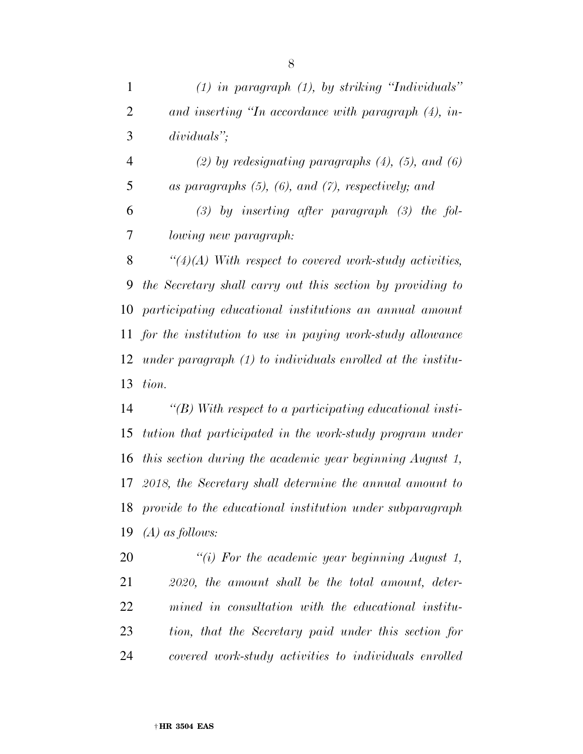| $\mathbf{1}$   | $(1)$ in paragraph $(1)$ , by striking "Individuals"          |
|----------------|---------------------------------------------------------------|
| $\overline{2}$ | and inserting "In accordance with paragraph $(4)$ , in-       |
| 3              | $dividuals$ ":                                                |
| $\overline{4}$ | $(2)$ by redesignating paragraphs $(4)$ , $(5)$ , and $(6)$   |
| 5              | as paragraphs $(5)$ , $(6)$ , and $(7)$ , respectively; and   |
| 6              | $(3)$ by inserting after paragraph $(3)$ the fol-             |
| 7              | lowing new paragraph:                                         |
| 8              | $\lq(4)(A)$ With respect to covered work-study activities,    |
| 9              | the Secretary shall carry out this section by providing to    |
| 10             | participating educational institutions an annual amount       |
| 11             | for the institution to use in paying work-study allowance     |
| 12             | under paragraph $(1)$ to individuals enrolled at the institu- |
| 13             | tion.                                                         |
| 14             | $\lq (B)$ With respect to a participating educational insti-  |
| 15             | tution that participated in the work-study program under      |
| 16             | this section during the academic year beginning August 1,     |
| 17             | $2018$ , the Secretary shall determine the annual amount to   |
|                | 18 provide to the educational institution under subparagraph  |
| 19             | $(A)$ as follows:                                             |
| 20             | "(i) For the academic year beginning August 1,                |
| 21             | 2020, the amount shall be the total amount, deter-            |
| 22             | mined in consultation with the educational institu-           |
| 23             | tion, that the Secretary paid under this section for          |

*covered work-study activities to individuals enrolled*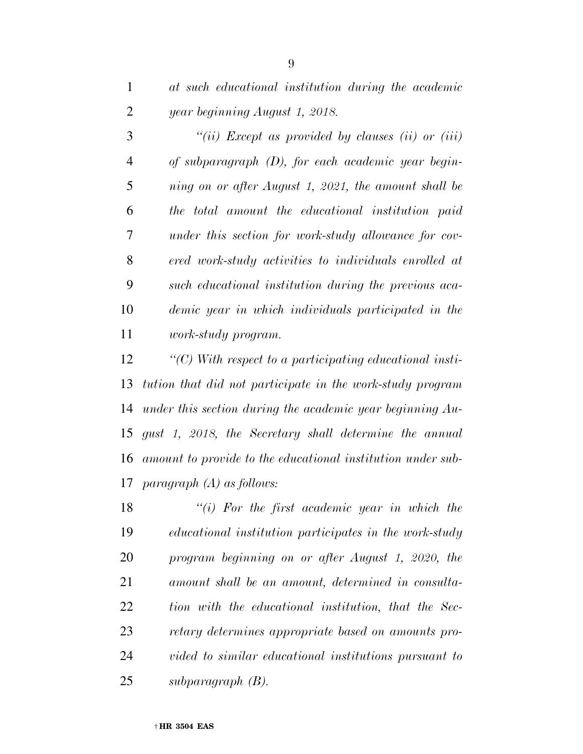*at such educational institution during the academic year beginning August 1, 2018.* 

 *''(ii) Except as provided by clauses (ii) or (iii) of subparagraph (D), for each academic year begin- ning on or after August 1, 2021, the amount shall be the total amount the educational institution paid under this section for work-study allowance for cov- ered work-study activities to individuals enrolled at such educational institution during the previous aca- demic year in which individuals participated in the work-study program.* 

 *''(C) With respect to a participating educational insti- tution that did not participate in the work-study program under this section during the academic year beginning Au- gust 1, 2018, the Secretary shall determine the annual amount to provide to the educational institution under sub-paragraph (A) as follows:* 

 *''(i) For the first academic year in which the educational institution participates in the work-study program beginning on or after August 1, 2020, the amount shall be an amount, determined in consulta- tion with the educational institution, that the Sec- retary determines appropriate based on amounts pro- vided to similar educational institutions pursuant to subparagraph (B).*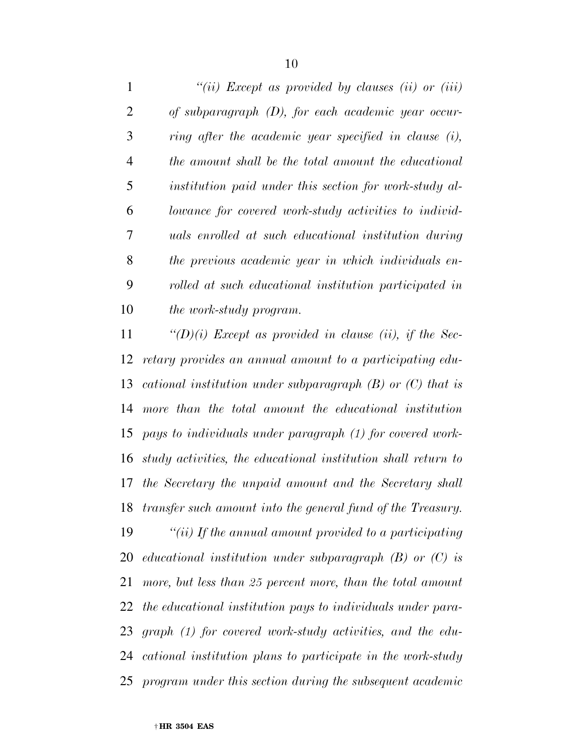|                | "(ii) Except as provided by clauses (ii) or (iii)           |
|----------------|-------------------------------------------------------------|
| $\overline{2}$ | of subparagraph $(D)$ , for each academic year occur-       |
| 3              | ring after the academic year specified in clause (i),       |
| 4              | the amount shall be the total amount the educational        |
| 5              | institution paid under this section for work-study al-      |
| 6              | lowance for covered work-study activities to individ-       |
| 7              | <i>uals enrolled at such educational institution during</i> |
| 8              | the previous academic year in which individuals en-         |
| 9              | rolled at such educational institution participated in      |
| 10             | <i>the work-study program.</i>                              |

 *''(D)(i) Except as provided in clause (ii), if the Sec- retary provides an annual amount to a participating edu- cational institution under subparagraph (B) or (C) that is more than the total amount the educational institution pays to individuals under paragraph (1) for covered work- study activities, the educational institution shall return to the Secretary the unpaid amount and the Secretary shall transfer such amount into the general fund of the Treasury.* 

 *''(ii) If the annual amount provided to a participating educational institution under subparagraph (B) or (C) is more, but less than 25 percent more, than the total amount the educational institution pays to individuals under para- graph (1) for covered work-study activities, and the edu- cational institution plans to participate in the work-study program under this section during the subsequent academic*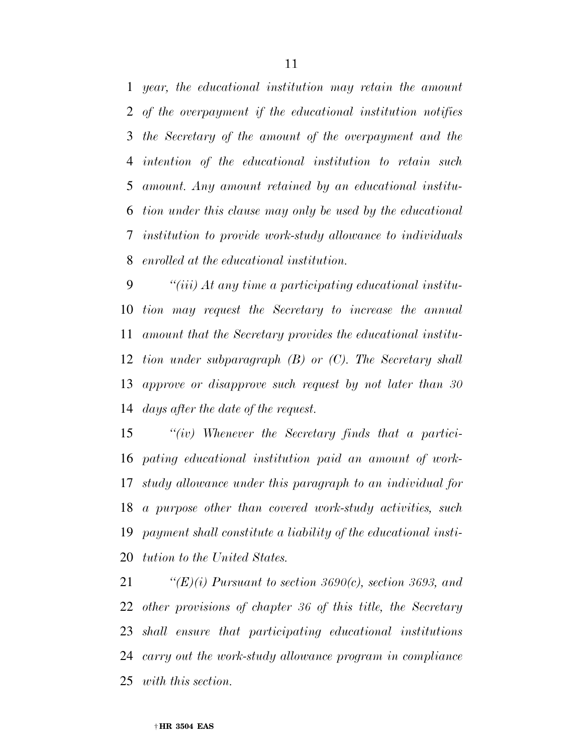*year, the educational institution may retain the amount of the overpayment if the educational institution notifies the Secretary of the amount of the overpayment and the intention of the educational institution to retain such amount. Any amount retained by an educational institu- tion under this clause may only be used by the educational institution to provide work-study allowance to individuals enrolled at the educational institution.* 

 *''(iii) At any time a participating educational institu- tion may request the Secretary to increase the annual amount that the Secretary provides the educational institu- tion under subparagraph (B) or (C). The Secretary shall approve or disapprove such request by not later than 30 days after the date of the request.* 

 *''(iv) Whenever the Secretary finds that a partici- pating educational institution paid an amount of work- study allowance under this paragraph to an individual for a purpose other than covered work-study activities, such payment shall constitute a liability of the educational insti-tution to the United States.* 

 *''(E)(i) Pursuant to section 3690(c), section 3693, and other provisions of chapter 36 of this title, the Secretary shall ensure that participating educational institutions carry out the work-study allowance program in compliance with this section.*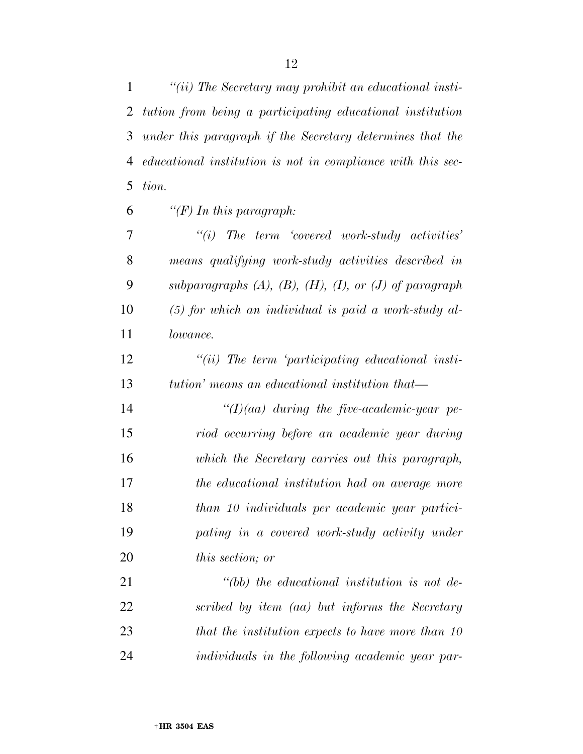*''(ii) The Secretary may prohibit an educational insti- tution from being a participating educational institution under this paragraph if the Secretary determines that the educational institution is not in compliance with this sec-tion.* 

*''(F) In this paragraph:* 

 *''(i) The term 'covered work-study activities' means qualifying work-study activities described in subparagraphs (A), (B), (H), (I), or (J) of paragraph (5) for which an individual is paid a work-study al-lowance.* 

 *''(ii) The term 'participating educational insti-tution' means an educational institution that—* 

 *''(I)(aa) during the five-academic-year pe- riod occurring before an academic year during which the Secretary carries out this paragraph, the educational institution had on average more than 10 individuals per academic year partici- pating in a covered work-study activity under this section; or* 

 *''(bb) the educational institution is not de- scribed by item (aa) but informs the Secretary that the institution expects to have more than 10 individuals in the following academic year par-*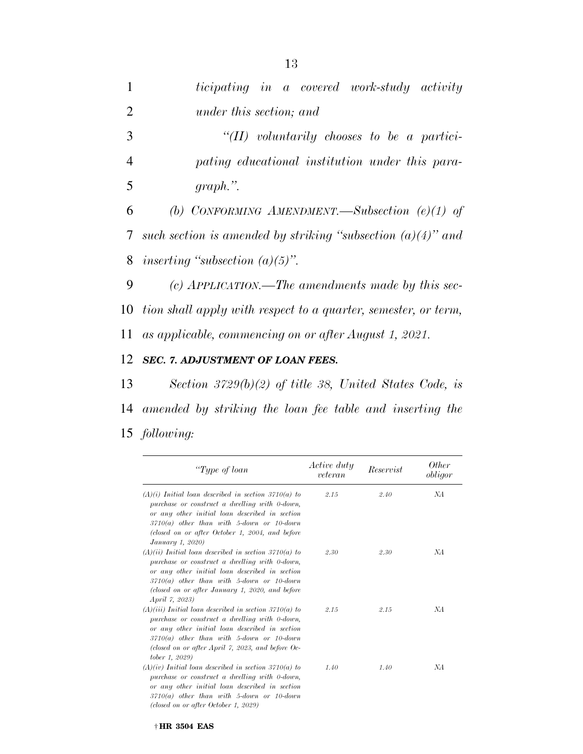| $\mathbf{1}$ | ticipating in a covered work-study activity                      |
|--------------|------------------------------------------------------------------|
| 2            | under this section; and                                          |
| 3            | "(II) voluntarily chooses to be a partici-                       |
| 4            | pating educational institution under this para-                  |
| 5            | $graph.$ ".                                                      |
| 6            | (b) CONFORMING AMENDMENT.—Subsection $(e)(1)$ of                 |
|              | 7 such section is amended by striking "subsection $(a)(4)$ " and |
|              | 8 inserting "subsection $(a)(5)$ ".                              |

9 *(c) APPLICATION.—The amendments made by this sec-*10 *tion shall apply with respect to a quarter, semester, or term,*  11 *as applicable, commencing on or after August 1, 2021.* 

#### 12 *SEC. 7. ADJUSTMENT OF LOAN FEES.*

13 *Section 3729(b)(2) of title 38, United States Code, is*  14 *amended by striking the loan fee table and inserting the*  15 *following:* 

| "Type of loan                                                                                                                                                                                                                                                                           | <i>Active duty</i><br>veteran | Reservist | Other<br>obligor |
|-----------------------------------------------------------------------------------------------------------------------------------------------------------------------------------------------------------------------------------------------------------------------------------------|-------------------------------|-----------|------------------|
| $(A)(i)$ Initial loan described in section 3710(a) to<br>purchase or construct a dwelling with 0-down,<br>or any other initial loan described in section<br>$3710(a)$ other than with 5-down or 10-down<br>(closed on or after October 1, 2004, and before<br>January 1, 2020)          | 2.15                          | 2.40      | NА               |
| $(A)(ii)$ Initial loan described in section 3710(a) to<br>purchase or construct a dwelling with 0-down,<br>or any other initial loan described in section<br>$3710(a)$ other than with 5-down or 10-down<br>(closed on or after January 1, 2020, and before<br><i>April 7, 2023)</i>    | 2.30                          | 2.30      | NА               |
| $(A)(iii)$ Initial loan described in section 3710(a) to<br>purchase or construct a dwelling with 0-down,<br>or any other initial loan described in section<br>$3710(a)$ other than with 5-down or 10-down<br>(closed on or after April 7, 2023, and before Oc-<br><i>tober 1, 2029)</i> | 2.15                          | 2.15      | NА               |
| $(A)(iv)$ Initial loan described in section 3710(a) to<br>purchase or construct a dwelling with 0-down,<br>or any other initial loan described in section<br>$3710(a)$ other than with 5-down or 10-down                                                                                | 1.40                          | 1.40      | NА               |

*(closed on or after October 1, 2029)*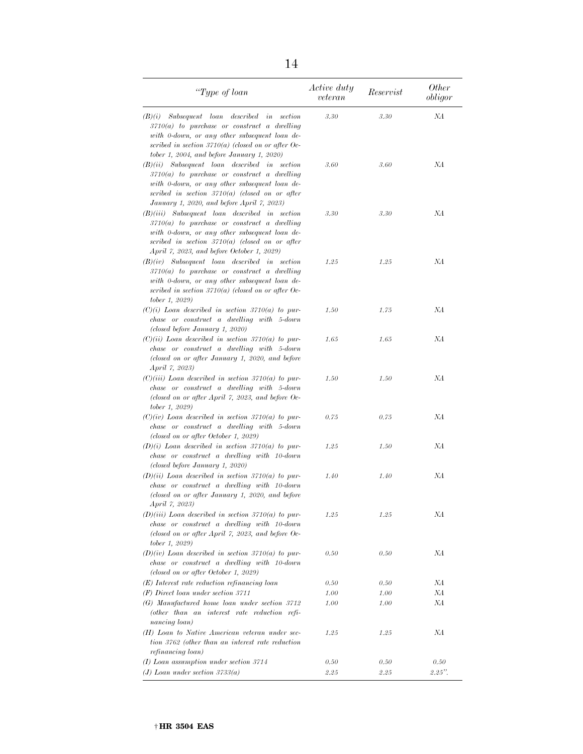| "Type of loan                                                                                                                                                                                                                                          | Active duty<br>veteran | Reservist | <i>Other</i><br>obligor |
|--------------------------------------------------------------------------------------------------------------------------------------------------------------------------------------------------------------------------------------------------------|------------------------|-----------|-------------------------|
| (B)(i)<br>Subsequent loan described in section<br>$3710(a)$ to purchase or construct a dwelling<br>with 0-down, or any other subsequent loan de-<br>scribed in section $3710(a)$ (closed on or after Oc-<br>tober 1, 2004, and before January 1, 2020) | 3.30                   | 3.30      | NА                      |
| $(B)(ii)$ Subsequent loan described in section<br>$3710(a)$ to purchase or construct a dwelling<br>with 0-down, or any other subsequent loan de-<br>scribed in section $3710(a)$ (closed on or after<br>January 1, 2020, and before April 7, 2023)     | 3.60                   | 3.60      | NА                      |
| $(B)(iii)$ Subsequent loan described in section<br>$3710(a)$ to purchase or construct a dwelling<br>with 0-down, or any other subsequent loan de-<br>scribed in section $3710(a)$ (closed on or after<br>April 7, 2023, and before October 1, 2029)    | 3.30                   | 3.30      | NА                      |
| $(B)(iv)$ Subsequent loan described in section<br>$3710(a)$ to purchase or construct a dwelling<br>with 0-down, or any other subsequent loan de-<br>scribed in section $3710(a)$ (closed on or after Oc-<br>tober 1, 2029)                             | 1.25                   | 1.25      | NА                      |
| $(C)(i)$ Loan described in section 3710(a) to pur-<br>chase or construct a dwelling with 5-down<br>(closed before January 1, 2020)                                                                                                                     | 1.50                   | 1.75      | NА                      |
| $(C)(ii)$ Loan described in section 3710(a) to pur-<br>chase or construct a dwelling with 5-down<br>(closed on or after January 1, 2020, and before<br>April 7, 2023)                                                                                  | 1.65                   | 1.65      | NА                      |
| $(C)(iii)$ Loan described in section 3710(a) to pur-<br>chase or construct a dwelling with 5-down<br>(closed on or after April 7, 2023, and before Oc-<br><i>tober 1, 2029)</i>                                                                        | 1.50                   | 1.50      | NА                      |
| $(C)(iv)$ Loan described in section 3710(a) to pur-<br>chase or construct a dwelling with 5-down<br>(closed on or after October 1, 2029)                                                                                                               | 0.75                   | 0.75      | NА                      |
| $(D)(i)$ Loan described in section 3710(a) to pur-<br>chase or construct a dwelling with 10-down<br>(closed before January 1, 2020)                                                                                                                    | 1.25                   | 1.50      | NА                      |
| $(D)(ii)$ Loan described in section 3710(a) to pur-<br>chase or construct a dwelling with 10-down<br>(closed on or after January 1, 2020, and before<br>April 7, 2023)                                                                                 | 1.40                   | 1.40      | NА                      |
| $(D)(iii)$ Loan described in section 3710(a) to pur-<br>chase or construct a dwelling with 10-down<br>(closed on or after April 7, 2023, and before Oc-<br><i>tober 1, 2029)</i>                                                                       | 1.25                   | 1.25      | NА                      |
| $(D)(iv)$ Loan described in section 3710(a) to pur-<br>chase or construct a dwelling with 10-down<br>(closed on or after October 1, 2029)                                                                                                              | 0.50                   | 0.50      | NА                      |
| $(E)$ Interest rate reduction refinancing loan                                                                                                                                                                                                         | 0.50                   | 0.50      | NА                      |
| $(F)$ Direct loan under section 3711                                                                                                                                                                                                                   | 1.00                   | 1.00      | NА                      |
| (G) Manufactured home loan under section 3712<br>(other than an interest rate reduction refi-<br>nancing loan)                                                                                                                                         | 1.00                   | 1.00      | NA                      |
| (H) Loan to Native American veteran under sec-<br>tion 3762 (other than an interest rate reduction<br>refinancing loan)                                                                                                                                | 1.25                   | 1.25      | NА                      |
| $(I)$ Loan assumption under section 3714                                                                                                                                                                                                               | 0.50                   | 0.50      | 0.50                    |
| (J) Loan under section $3733(a)$                                                                                                                                                                                                                       | 2.25                   | 2.25      | $2.25"$ .               |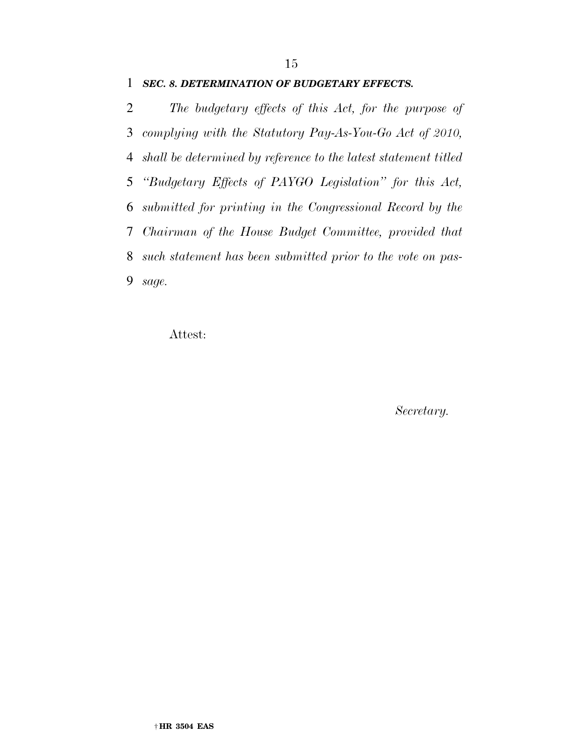#### *SEC. 8. DETERMINATION OF BUDGETARY EFFECTS.*

 *The budgetary effects of this Act, for the purpose of complying with the Statutory Pay-As-You-Go Act of 2010, shall be determined by reference to the latest statement titled ''Budgetary Effects of PAYGO Legislation'' for this Act, submitted for printing in the Congressional Record by the Chairman of the House Budget Committee, provided that such statement has been submitted prior to the vote on pas-sage.* 

Attest:

*Secretary.*